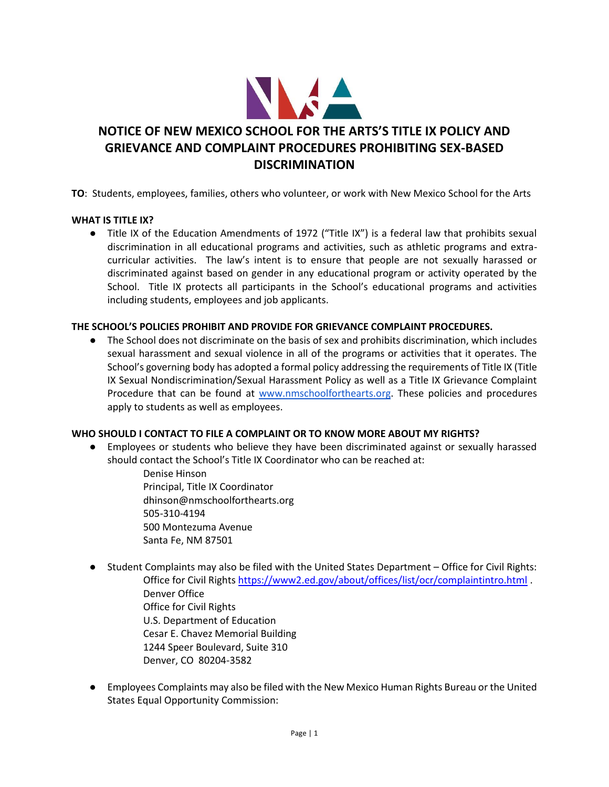

# **NOTICE OF NEW MEXICO SCHOOL FOR THE ARTS'S TITLE IX POLICY AND GRIEVANCE AND COMPLAINT PROCEDURES PROHIBITING SEX-BASED DISCRIMINATION**

**TO**: Students, employees, families, others who volunteer, or work with New Mexico School for the Arts

#### **WHAT IS TITLE IX?**

● Title IX of the Education Amendments of 1972 ("Title IX") is a federal law that prohibits sexual discrimination in all educational programs and activities, such as athletic programs and extracurricular activities. The law's intent is to ensure that people are not sexually harassed or discriminated against based on gender in any educational program or activity operated by the School. Title IX protects all participants in the School's educational programs and activities including students, employees and job applicants.

#### **THE SCHOOL'S POLICIES PROHIBIT AND PROVIDE FOR GRIEVANCE COMPLAINT PROCEDURES.**

● The School does not discriminate on the basis of sex and prohibits discrimination, which includes sexual harassment and sexual violence in all of the programs or activities that it operates. The School's governing body has adopted a formal policy addressing the requirements of Title IX (Title IX Sexual Nondiscrimination/Sexual Harassment Policy as well as a Title IX Grievance Complaint Procedure that can be found at [www.nmschoolforthearts.org.](http://www.nmschoolforthearts.org/) These policies and procedures apply to students as well as employees.

### **WHO SHOULD I CONTACT TO FILE A COMPLAINT OR TO KNOW MORE ABOUT MY RIGHTS?**

- Employees or students who believe they have been discriminated against or sexually harassed should contact the School's Title IX Coordinator who can be reached at:
	- Denise Hinson Principal, Title IX Coordinator dhinson@nmschoolforthearts.org 505-310-4194 500 Montezuma Avenue Santa Fe, NM 87501
- Student Complaints may also be filed with the United States Department Office for Civil Rights: Office for Civil Right[s https://www2.ed.gov/about/offices/list/ocr/complaintintro.html](https://www2.ed.gov/about/offices/list/ocr/complaintintro.html) . Denver Office Office for Civil Rights U.S. Department of Education Cesar E. Chavez Memorial Building 1244 Speer Boulevard, Suite 310 Denver, CO 80204-3582
- Employees Complaints may also be filed with the New Mexico Human Rights Bureau or the United States Equal Opportunity Commission: